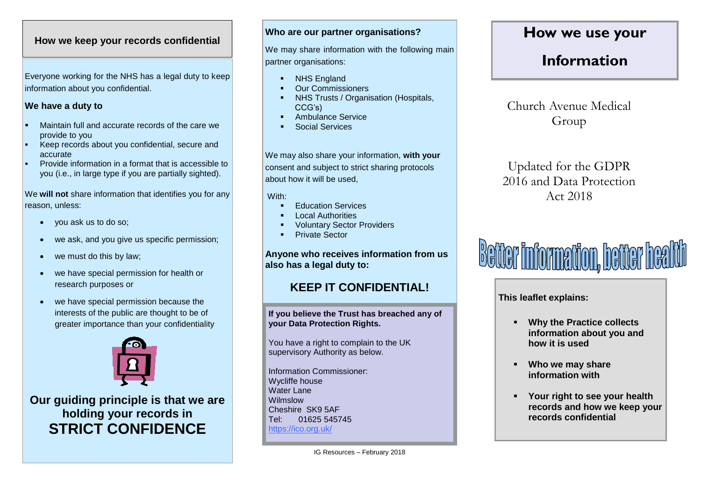### **How we keep your records confidential**

Everyone working for the NHS has a legal duty to keep information about you confidential.

### **We have a duty to**

- Maintain full and accurate records of the care we provide to you
- Keep records about you confidential, secure and accurate
- Provide information in a format that is accessible to you (i.e., in large type if you are partially sighted).

We **will not** share information that identifies you for any reason, unless:

- you ask us to do so;
- we ask, and you give us specific permission;
- we must do this by law;
- we have special permission for health or research purposes or
- we have special permission because the interests of the public are thought to be of greater importance than your confidentiality



**Our guiding principle is that we are holding your records in STRICT CONFIDENCE**

### **Who are our partner organisations?**

We may share information with the following main partner organisations:

- NHS England
- Our Commissioners
- NHS Trusts / Organisation (Hospitals, CCG's)
- Ambulance Service
- Social Services

We may also share your information, **with your** consent and subject to strict sharing protocols about how it will be used,

With:

- Education Services
- Local Authorities
- Voluntary Sector Providers
- Private Sector

**Anyone who receives information from us also has a legal duty to:**

## **KEEP IT CONFIDENTIAL!**

**If you believe the Trust has breached any of your Data Protection Rights.**

You have a right to complain to the UK supervisory Authority as below.

Information Commissioner: Wycliffe house Water Lane Wilmslow Cheshire SK9 5AF Tel: 01625 545745 https://ico.org.uk/

## **How we use your**

# **Information**

Church Avenue Medical Group

Updated for the GDPR 2016 and Data Protection Act 2018



**This leaflet explains:**

- **Why the Practice collects information about you and how it is used**
- **Who we may share information with**
- **Your right to see your health records and how we keep your records confidential**